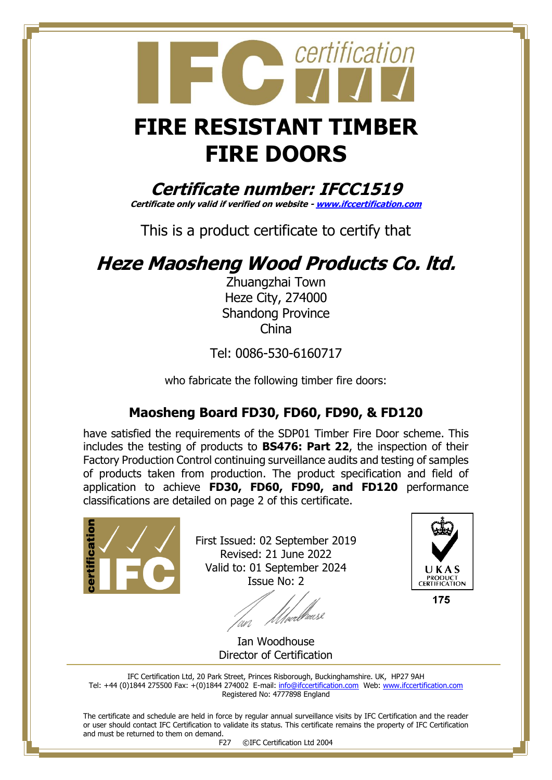## certification  **FIRE RESISTANT TIMBER FIRE DOORS**

**Certificate number: IFCC1519**

**Certificate only valid if verified on website - [www.ifccertification.com](http://www.ifccertification.com/)**

This is a product certificate to certify that

## **Heze Maosheng Wood Products Co. ltd.**

Zhuangzhai Town Heze City, 274000 Shandong Province China

Tel: 0086-530-6160717

who fabricate the following timber fire doors:

## **Maosheng Board FD30, FD60, FD90, & FD120**

have satisfied the requirements of the SDP01 Timber Fire Door scheme. This includes the testing of products to **BS476: Part 22**, the inspection of their Factory Production Control continuing surveillance audits and testing of samples of products taken from production. The product specification and field of application to achieve **FD30, FD60, FD90, and FD120** performance classifications are detailed on page 2 of this certificate.



First Issued: 02 September 2019 Revised: 21 June 2022 Valid to: 01 September 2024 Issue No: 2

an



175

Ian Woodhouse Director of Certification

IFC Certification Ltd, 20 Park Street, Princes Risborough, Buckinghamshire. UK, HP27 9AH Tel: +44 (0)1844 275500 Fax: +(0)1844 274002 E-mail[: info@ifccertification.com](mailto:info@ifccertification.com) Web: [www.ifccertification.com](http://www.ifccertification.com/) Registered No: 4777898 England

The certificate and schedule are held in force by regular annual surveillance visits by IFC Certification and the reader or user should contact IFC Certification to validate its status. This certificate remains the property of IFC Certification and must be returned to them on demand.

F27 ©IFC Certification Ltd 2004